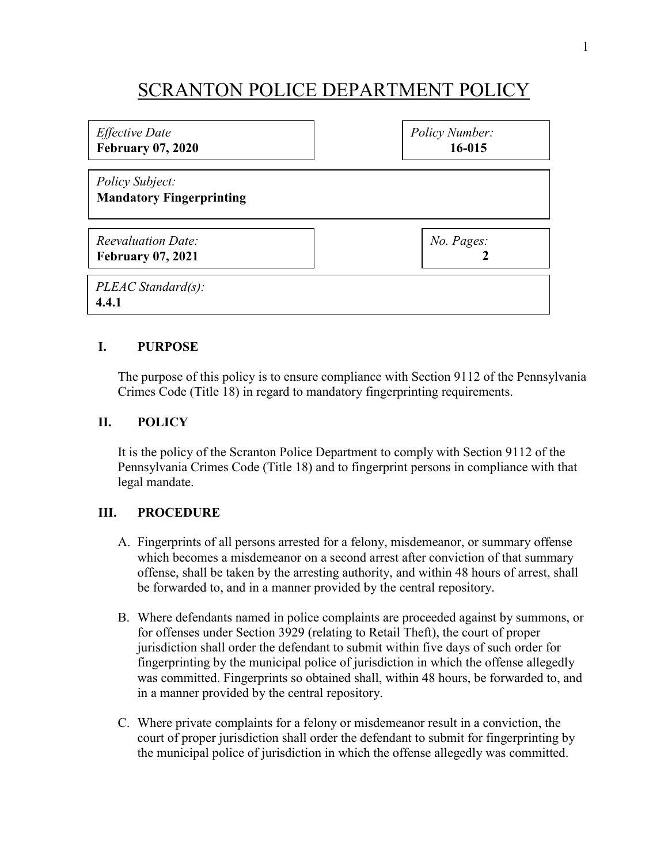## SCRANTON POLICE DEPARTMENT POLICY

| <i>Effective Date</i><br><b>February 07, 2020</b>     | Policy Number:<br>16-015 |
|-------------------------------------------------------|--------------------------|
| Policy Subject:<br><b>Mandatory Fingerprinting</b>    |                          |
| <b>Reevaluation Date:</b><br><b>February 07, 2021</b> | No. Pages:               |
| PLEAC Standard(s):<br>4.4.1                           |                          |

## **I. PURPOSE**

The purpose of this policy is to ensure compliance with Section 9112 of the Pennsylvania Crimes Code (Title 18) in regard to mandatory fingerprinting requirements.

## **II. POLICY**

It is the policy of the Scranton Police Department to comply with Section 9112 of the Pennsylvania Crimes Code (Title 18) and to fingerprint persons in compliance with that legal mandate.

## **III. PROCEDURE**

- A. Fingerprints of all persons arrested for a felony, misdemeanor, or summary offense which becomes a misdemeanor on a second arrest after conviction of that summary offense, shall be taken by the arresting authority, and within 48 hours of arrest, shall be forwarded to, and in a manner provided by the central repository.
- B. Where defendants named in police complaints are proceeded against by summons, or for offenses under Section 3929 (relating to Retail Theft), the court of proper jurisdiction shall order the defendant to submit within five days of such order for fingerprinting by the municipal police of jurisdiction in which the offense allegedly was committed. Fingerprints so obtained shall, within 48 hours, be forwarded to, and in a manner provided by the central repository.
- C. Where private complaints for a felony or misdemeanor result in a conviction, the court of proper jurisdiction shall order the defendant to submit for fingerprinting by the municipal police of jurisdiction in which the offense allegedly was committed.